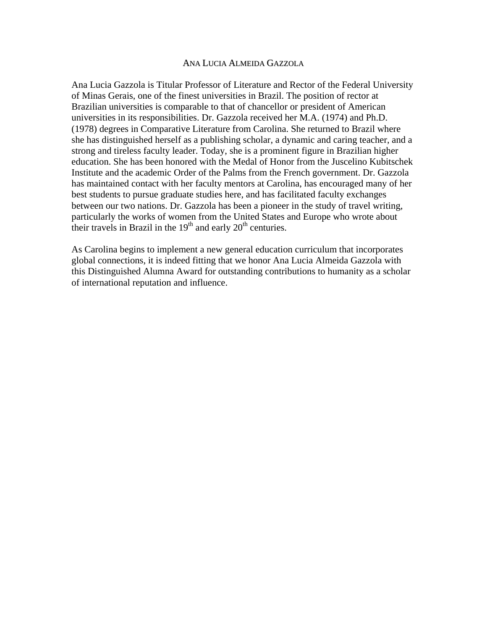## ANA LUCIA ALMEIDA GAZZOLA

Ana Lucia Gazzola is Titular Professor of Literature and Rector of the Federal University of Minas Gerais, one of the finest universities in Brazil. The position of rector at Brazilian universities is comparable to that of chancellor or president of American universities in its responsibilities. Dr. Gazzola received her M.A. (1974) and Ph.D. (1978) degrees in Comparative Literature from Carolina. She returned to Brazil where she has distinguished herself as a publishing scholar, a dynamic and caring teacher, and a strong and tireless faculty leader. Today, she is a prominent figure in Brazilian higher education. She has been honored with the Medal of Honor from the Juscelino Kubitschek Institute and the academic Order of the Palms from the French government. Dr. Gazzola has maintained contact with her faculty mentors at Carolina, has encouraged many of her best students to pursue graduate studies here, and has facilitated faculty exchanges between our two nations. Dr. Gazzola has been a pioneer in the study of travel writing, particularly the works of women from the United States and Europe who wrote about their travels in Brazil in the  $19<sup>th</sup>$  and early  $20<sup>th</sup>$  centuries.

As Carolina begins to implement a new general education curriculum that incorporates global connections, it is indeed fitting that we honor Ana Lucia Almeida Gazzola with this Distinguished Alumna Award for outstanding contributions to humanity as a scholar of international reputation and influence.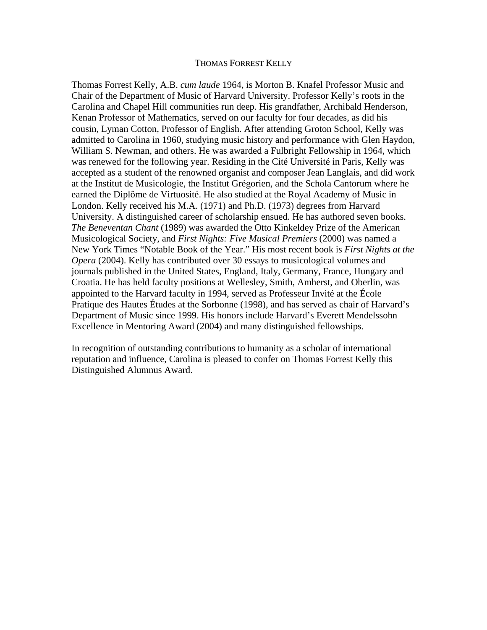## THOMAS FORREST KELLY

Thomas Forrest Kelly, A.B. *cum laude* 1964, is Morton B. Knafel Professor Music and Chair of the Department of Music of Harvard University. Professor Kelly's roots in the Carolina and Chapel Hill communities run deep. His grandfather, Archibald Henderson, Kenan Professor of Mathematics, served on our faculty for four decades, as did his cousin, Lyman Cotton, Professor of English. After attending Groton School, Kelly was admitted to Carolina in 1960, studying music history and performance with Glen Haydon, William S. Newman, and others. He was awarded a Fulbright Fellowship in 1964, which was renewed for the following year. Residing in the Cité Université in Paris, Kelly was accepted as a student of the renowned organist and composer Jean Langlais, and did work at the Institut de Musicologie, the Institut Grégorien, and the Schola Cantorum where he earned the Diplôme de Virtuosité. He also studied at the Royal Academy of Music in London. Kelly received his M.A. (1971) and Ph.D. (1973) degrees from Harvard University. A distinguished career of scholarship ensued. He has authored seven books. *The Beneventan Chant* (1989) was awarded the Otto Kinkeldey Prize of the American Musicological Society, and *First Nights: Five Musical Premiers* (2000) was named a New York Times "Notable Book of the Year." His most recent book is *First Nights at the Opera* (2004). Kelly has contributed over 30 essays to musicological volumes and journals published in the United States, England, Italy, Germany, France, Hungary and Croatia. He has held faculty positions at Wellesley, Smith, Amherst, and Oberlin, was appointed to the Harvard faculty in 1994, served as Professeur Invité at the École Pratique des Hautes Études at the Sorbonne (1998), and has served as chair of Harvard's Department of Music since 1999. His honors include Harvard's Everett Mendelssohn Excellence in Mentoring Award (2004) and many distinguished fellowships.

In recognition of outstanding contributions to humanity as a scholar of international reputation and influence, Carolina is pleased to confer on Thomas Forrest Kelly this Distinguished Alumnus Award.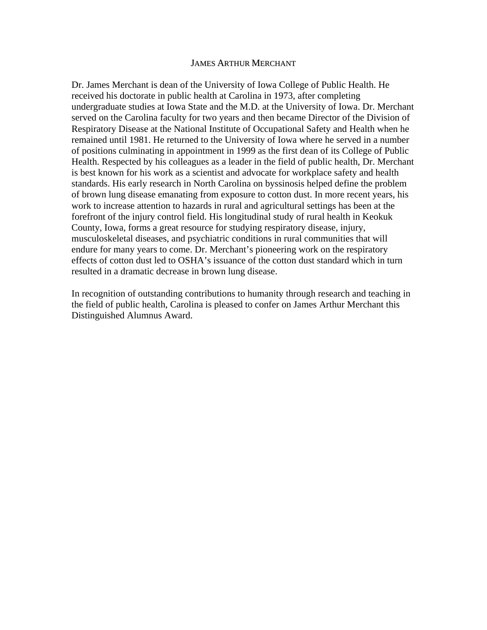## JAMES ARTHUR MERCHANT

Dr. James Merchant is dean of the University of Iowa College of Public Health. He received his doctorate in public health at Carolina in 1973, after completing undergraduate studies at Iowa State and the M.D. at the University of Iowa. Dr. Merchant served on the Carolina faculty for two years and then became Director of the Division of Respiratory Disease at the National Institute of Occupational Safety and Health when he remained until 1981. He returned to the University of Iowa where he served in a number of positions culminating in appointment in 1999 as the first dean of its College of Public Health. Respected by his colleagues as a leader in the field of public health, Dr. Merchant is best known for his work as a scientist and advocate for workplace safety and health standards. His early research in North Carolina on byssinosis helped define the problem of brown lung disease emanating from exposure to cotton dust. In more recent years, his work to increase attention to hazards in rural and agricultural settings has been at the forefront of the injury control field. His longitudinal study of rural health in Keokuk County, Iowa, forms a great resource for studying respiratory disease, injury, musculoskeletal diseases, and psychiatric conditions in rural communities that will endure for many years to come. Dr. Merchant's pioneering work on the respiratory effects of cotton dust led to OSHA's issuance of the cotton dust standard which in turn resulted in a dramatic decrease in brown lung disease.

In recognition of outstanding contributions to humanity through research and teaching in the field of public health, Carolina is pleased to confer on James Arthur Merchant this Distinguished Alumnus Award.